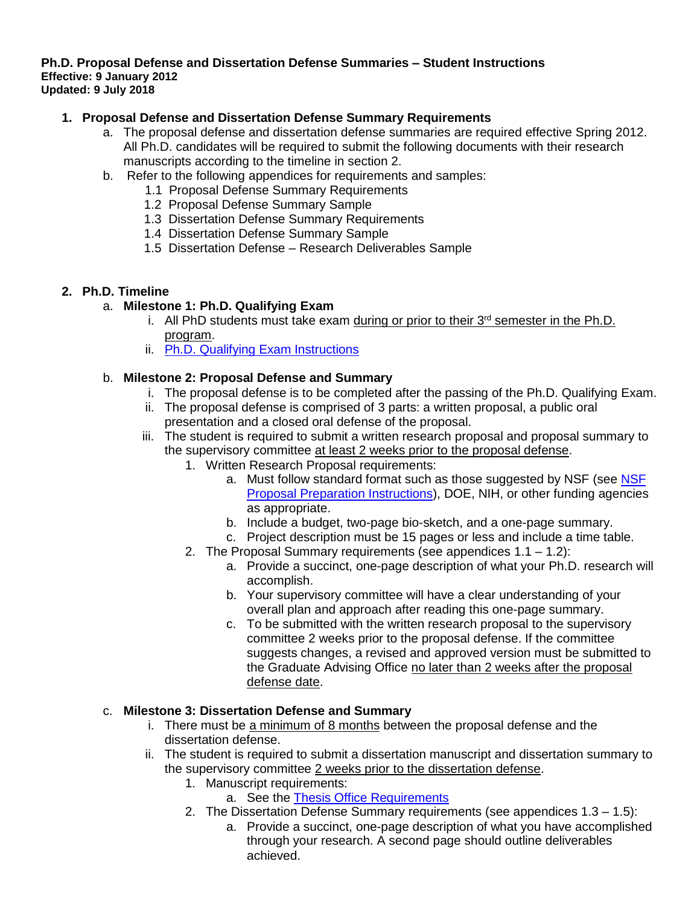#### **Ph.D. Proposal Defense and Dissertation Defense Summaries – Student Instructions Effective: 9 January 2012 Updated: 9 July 2018**

# **1. Proposal Defense and Dissertation Defense Summary Requirements**

- a. The proposal defense and dissertation defense summaries are required effective Spring 2012. All Ph.D. candidates will be required to submit the following documents with their research manuscripts according to the timeline in section 2.
- b. Refer to the following appendices for requirements and samples:
	- 1.1 Proposal Defense Summary Requirements
	- 1.2 Proposal Defense Summary Sample
	- 1.3 Dissertation Defense Summary Requirements
	- 1.4 Dissertation Defense Summary Sample
	- 1.5 Dissertation Defense Research Deliverables Sample

#### **2. Ph.D. Timeline**

# a. **Milestone 1: Ph.D. Qualifying Exam**

- i. All PhD students must take exam during or prior to their 3<sup>rd</sup> semester in the Ph.D. program.
- ii. Ph.D. [Qualifying Exam Instructions](https://mech.utah.edu/files/2016/03/Qual-Exam-Handbook-2017.pdf)

# b. **Milestone 2: Proposal Defense and Summary**

- i. The proposal defense is to be completed after the passing of the Ph.D. Qualifying Exam.
- ii. The proposal defense is comprised of 3 parts: a written proposal, a public oral presentation and a closed oral defense of the proposal.
- iii. The student is required to submit a written research proposal and proposal summary to the supervisory committee at least 2 weeks prior to the proposal defense.
	- 1. Written Research Proposal requirements:
		- a. Must follow standard format such as those suggested by [NSF](https://www.nsf.gov/pubs/policydocs/pappg18_1/pappg_2.jsp) (see NSF) [Proposal Preparation Instructions\)](https://www.nsf.gov/pubs/policydocs/pappg18_1/pappg_2.jsp), DOE, NIH, or other funding agencies as appropriate.
		- b. Include a budget, two-page bio-sketch, and a one-page summary.
		- c. Project description must be 15 pages or less and include a time table.
	- 2. The Proposal Summary requirements (see appendices 1.1 1.2):
		- a. Provide a succinct, one-page description of what your Ph.D. research will accomplish.
		- b. Your supervisory committee will have a clear understanding of your overall plan and approach after reading this one-page summary.
		- c. To be submitted with the written research proposal to the supervisory committee 2 weeks prior to the proposal defense. If the committee suggests changes, a revised and approved version must be submitted to the Graduate Advising Office no later than 2 weeks after the proposal defense date.

# c. **Milestone 3: Dissertation Defense and Summary**

- i. There must be a minimum of 8 months between the proposal defense and the dissertation defense.
- ii. The student is required to submit a dissertation manuscript and dissertation summary to the supervisory committee 2 weeks prior to the dissertation defense.
	- 1. Manuscript requirements:
		- a. See the [Thesis Office Requirements](https://gradschool.utah.edu/thesis/index.php)
	- 2. The Dissertation Defense Summary requirements (see appendices 1.3 1.5):
		- a. Provide a succinct, one-page description of what you have accomplished through your research. A second page should outline deliverables achieved.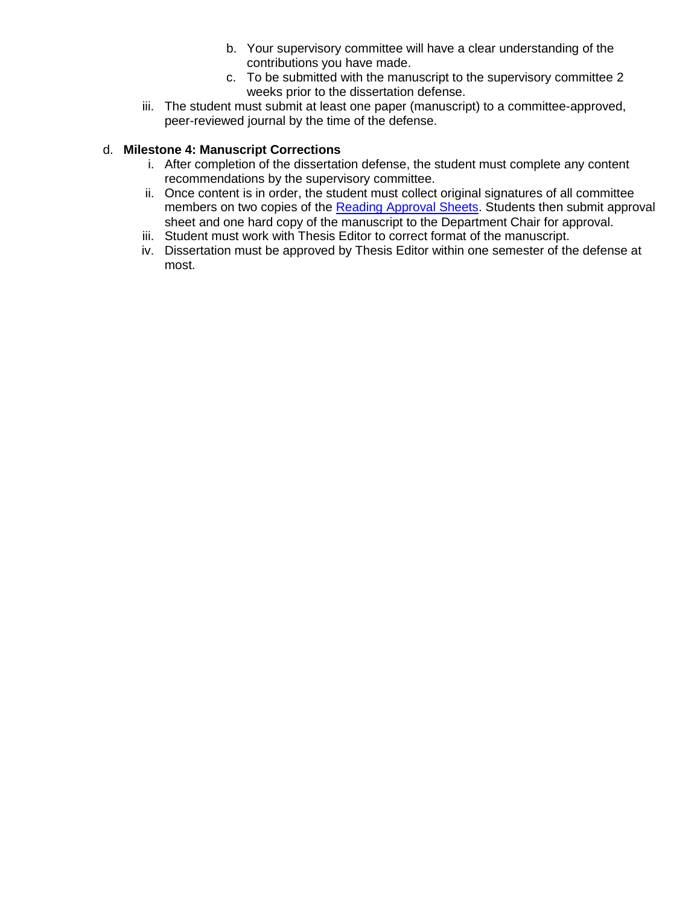- b. Your supervisory committee will have a clear understanding of the contributions you have made.
- c. To be submitted with the manuscript to the supervisory committee 2 weeks prior to the dissertation defense.
- iii. The student must submit at least one paper (manuscript) to a committee-approved, peer-reviewed journal by the time of the defense.

# d. **Milestone 4: Manuscript Corrections**

- i. After completion of the dissertation defense, the student must complete any content recommendations by the supervisory committee.
- ii. Once content is in order, the student must collect original signatures of all committee members on two copies of the [Reading Approval Sheets.](http://gradschool.utah.edu/thesis/wp-content/uploads/2013/04/PhD-Signature-Sheets.doc) Students then submit approval sheet and one hard copy of the manuscript to the Department Chair for approval.
- iii. Student must work with Thesis Editor to correct format of the manuscript.
- iv. Dissertation must be approved by Thesis Editor within one semester of the defense at most.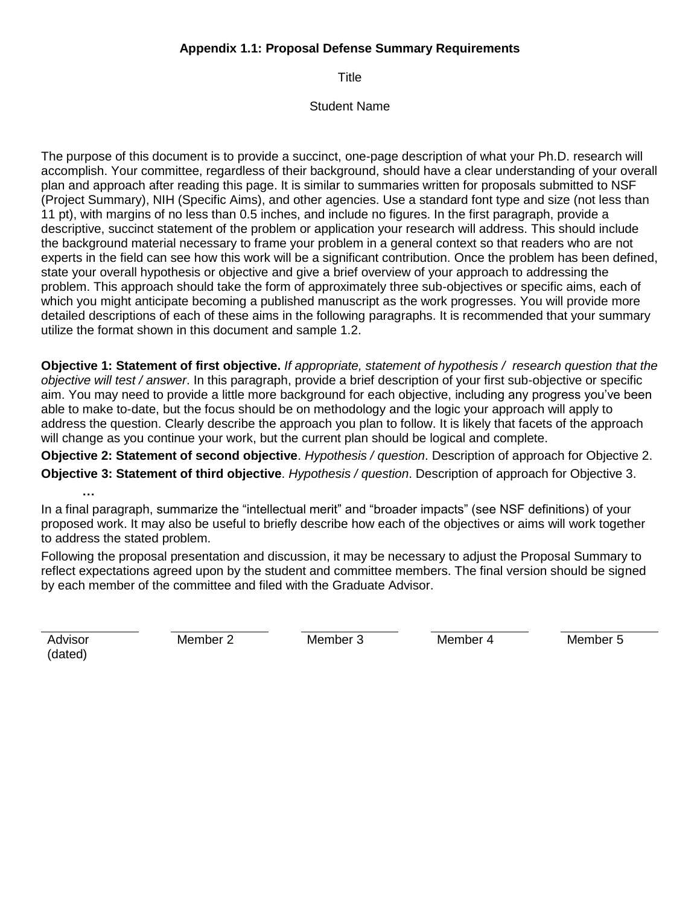# **Appendix 1.1: Proposal Defense Summary Requirements**

**Title** 

#### Student Name

The purpose of this document is to provide a succinct, one-page description of what your Ph.D. research will accomplish. Your committee, regardless of their background, should have a clear understanding of your overall plan and approach after reading this page. It is similar to summaries written for proposals submitted to NSF (Project Summary), NIH (Specific Aims), and other agencies. Use a standard font type and size (not less than 11 pt), with margins of no less than 0.5 inches, and include no figures. In the first paragraph, provide a descriptive, succinct statement of the problem or application your research will address. This should include the background material necessary to frame your problem in a general context so that readers who are not experts in the field can see how this work will be a significant contribution. Once the problem has been defined, state your overall hypothesis or objective and give a brief overview of your approach to addressing the problem. This approach should take the form of approximately three sub-objectives or specific aims, each of which you might anticipate becoming a published manuscript as the work progresses. You will provide more detailed descriptions of each of these aims in the following paragraphs. It is recommended that your summary utilize the format shown in this document and sample 1.2.

**Objective 1: Statement of first objective.** *If appropriate, statement of hypothesis / research question that the objective will test / answer*. In this paragraph, provide a brief description of your first sub-objective or specific aim. You may need to provide a little more background for each objective, including any progress you've been able to make to-date, but the focus should be on methodology and the logic your approach will apply to address the question. Clearly describe the approach you plan to follow. It is likely that facets of the approach will change as you continue your work, but the current plan should be logical and complete.

**Objective 2: Statement of second objective**. *Hypothesis / question*. Description of approach for Objective 2. **Objective 3: Statement of third objective**. *Hypothesis / question*. Description of approach for Objective 3. **…**

In a final paragraph, summarize the "intellectual merit" and "broader impacts" (see NSF definitions) of your proposed work. It may also be useful to briefly describe how each of the objectives or aims will work together to address the stated problem.

Following the proposal presentation and discussion, it may be necessary to adjust the Proposal Summary to reflect expectations agreed upon by the student and committee members. The final version should be signed by each member of the committee and filed with the Graduate Advisor.

Advisor (dated)

Member 2 Member 3 Member 4 Member 5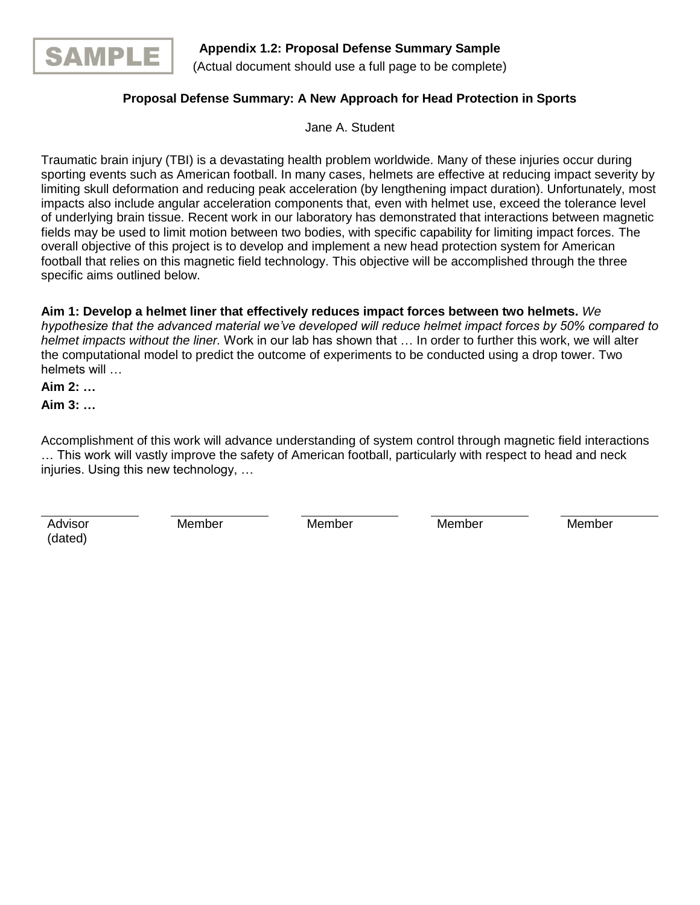

# **Proposal Defense Summary: A New Approach for Head Protection in Sports**

Jane A. Student

Traumatic brain injury (TBI) is a devastating health problem worldwide. Many of these injuries occur during sporting events such as American football. In many cases, helmets are effective at reducing impact severity by limiting skull deformation and reducing peak acceleration (by lengthening impact duration). Unfortunately, most impacts also include angular acceleration components that, even with helmet use, exceed the tolerance level of underlying brain tissue. Recent work in our laboratory has demonstrated that interactions between magnetic fields may be used to limit motion between two bodies, with specific capability for limiting impact forces. The overall objective of this project is to develop and implement a new head protection system for American football that relies on this magnetic field technology. This objective will be accomplished through the three specific aims outlined below.

**Aim 1: Develop a helmet liner that effectively reduces impact forces between two helmets.** *We hypothesize that the advanced material we've developed will reduce helmet impact forces by 50% compared to helmet impacts without the liner.* Work in our lab has shown that … In order to further this work, we will alter the computational model to predict the outcome of experiments to be conducted using a drop tower. Two helmets will …

**Aim 2: …**

**Aim 3: …**

Accomplishment of this work will advance understanding of system control through magnetic field interactions … This work will vastly improve the safety of American football, particularly with respect to head and neck injuries. Using this new technology, …

Advisor (dated)

Member Member Member Member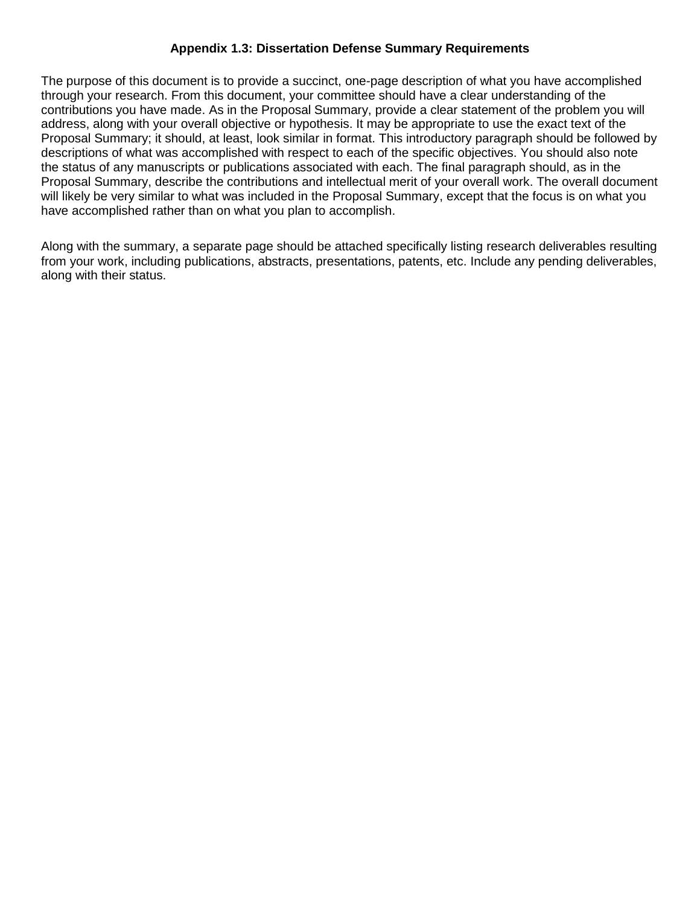# **Appendix 1.3: Dissertation Defense Summary Requirements**

The purpose of this document is to provide a succinct, one-page description of what you have accomplished through your research. From this document, your committee should have a clear understanding of the contributions you have made. As in the Proposal Summary, provide a clear statement of the problem you will address, along with your overall objective or hypothesis. It may be appropriate to use the exact text of the Proposal Summary; it should, at least, look similar in format. This introductory paragraph should be followed by descriptions of what was accomplished with respect to each of the specific objectives. You should also note the status of any manuscripts or publications associated with each. The final paragraph should, as in the Proposal Summary, describe the contributions and intellectual merit of your overall work. The overall document will likely be very similar to what was included in the Proposal Summary, except that the focus is on what you have accomplished rather than on what you plan to accomplish.

Along with the summary, a separate page should be attached specifically listing research deliverables resulting from your work, including publications, abstracts, presentations, patents, etc. Include any pending deliverables, along with their status.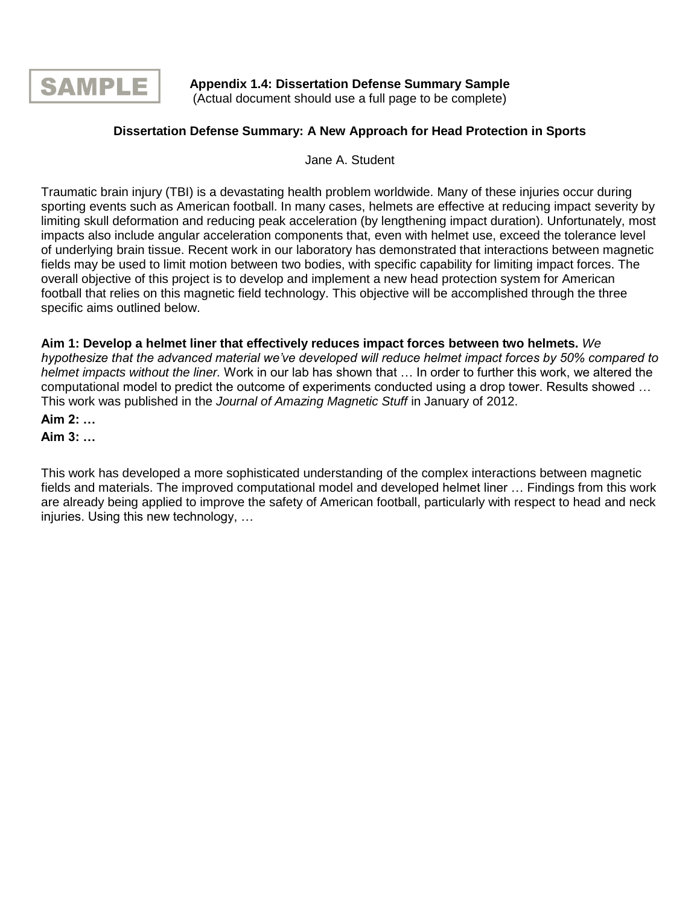

**Appendix 1.4: Dissertation Defense Summary Sample** (Actual document should use a full page to be complete)

# **Dissertation Defense Summary: A New Approach for Head Protection in Sports**

Jane A. Student

Traumatic brain injury (TBI) is a devastating health problem worldwide. Many of these injuries occur during sporting events such as American football. In many cases, helmets are effective at reducing impact severity by limiting skull deformation and reducing peak acceleration (by lengthening impact duration). Unfortunately, most impacts also include angular acceleration components that, even with helmet use, exceed the tolerance level of underlying brain tissue. Recent work in our laboratory has demonstrated that interactions between magnetic fields may be used to limit motion between two bodies, with specific capability for limiting impact forces. The overall objective of this project is to develop and implement a new head protection system for American football that relies on this magnetic field technology. This objective will be accomplished through the three specific aims outlined below.

**Aim 1: Develop a helmet liner that effectively reduces impact forces between two helmets.** *We hypothesize that the advanced material we've developed will reduce helmet impact forces by 50% compared to helmet impacts without the liner.* Work in our lab has shown that … In order to further this work, we altered the computational model to predict the outcome of experiments conducted using a drop tower. Results showed … This work was published in the *Journal of Amazing Magnetic Stuff* in January of 2012.

**Aim 2: …**

**Aim 3: …**

This work has developed a more sophisticated understanding of the complex interactions between magnetic fields and materials. The improved computational model and developed helmet liner … Findings from this work are already being applied to improve the safety of American football, particularly with respect to head and neck injuries. Using this new technology, …